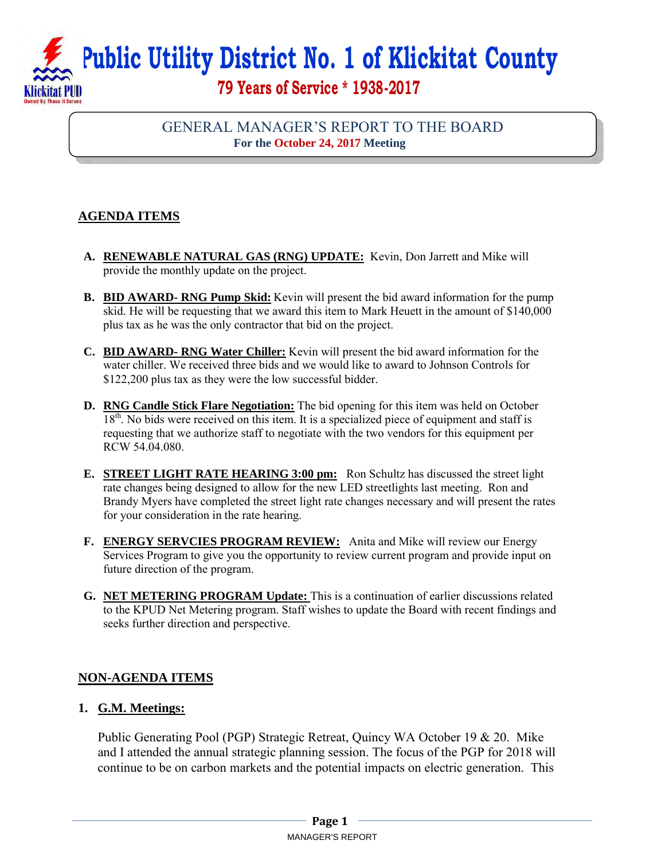**Public Utility District No. 1 of Klickitat County** 

# **79 Years of Service \* 1938-2017**

## GENERAL MANAGER'S REPORT TO THE BOARD **For the October 24, 2017 Meeting**

## **AGENDA ITEMS**

- **A. RENEWABLE NATURAL GAS (RNG) UPDATE:** Kevin, Don Jarrett and Mike will provide the monthly update on the project.
- **B. BID AWARD- RNG Pump Skid:** Kevin will present the bid award information for the pump skid. He will be requesting that we award this item to Mark Heuett in the amount of \$140,000 plus tax as he was the only contractor that bid on the project.
- **C. BID AWARD- RNG Water Chiller:** Kevin will present the bid award information for the water chiller. We received three bids and we would like to award to Johnson Controls for \$122,200 plus tax as they were the low successful bidder.
- **D. RNG Candle Stick Flare Negotiation:** The bid opening for this item was held on October 18<sup>th</sup>. No bids were received on this item. It is a specialized piece of equipment and staff is requesting that we authorize staff to negotiate with the two vendors for this equipment per RCW 54.04.080.
- **E. STREET LIGHT RATE HEARING 3:00 pm:** Ron Schultz has discussed the street light rate changes being designed to allow for the new LED streetlights last meeting. Ron and Brandy Myers have completed the street light rate changes necessary and will present the rates for your consideration in the rate hearing.
- **F. ENERGY SERVCIES PROGRAM REVIEW:** Anita and Mike will review our Energy Services Program to give you the opportunity to review current program and provide input on future direction of the program.
- **G. NET METERING PROGRAM Update:** This is a continuation of earlier discussions related to the KPUD Net Metering program. Staff wishes to update the Board with recent findings and seeks further direction and perspective.

### **NON-AGENDA ITEMS**

### **1. G.M. Meetings:**

Public Generating Pool (PGP) Strategic Retreat, Quincy WA October 19 & 20. Mike and I attended the annual strategic planning session. The focus of the PGP for 2018 will continue to be on carbon markets and the potential impacts on electric generation. This